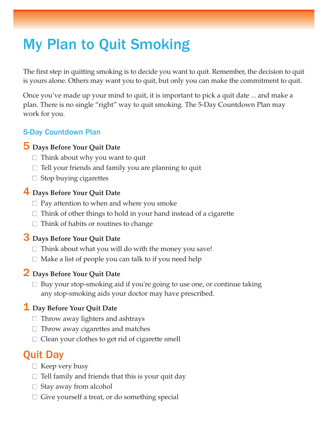# My Plan to Quit Smoking

The first step in quitting smoking is to decide you want to quit. Remember, the decision to quit is yours alone. Others may want you to quit, but only you can make the commitment to quit.

Once you've made up your mind to quit, it is important to pick a quit date ... and make a plan. There is no single "right" way to quit smoking. The 5-Day Countdown Plan may work for you.

#### 5-Day Countdown Plan

#### 5 **Days Before Your Quit Date**

- $\Box$  Think about why you want to quit
- $\Box$  Tell your friends and family you are planning to quit
- $\Box$  Stop buying cigarettes

#### 4 **Days Before Your Quit Date**

- $\Box$  Pay attention to when and where you smoke
- $\Box$  Think of other things to hold in your hand instead of a cigarette
- $\Box$  Think of habits or routines to change

#### 3 **Days Before Your Quit Date**

- $\Box$  Think about what you will do with the money you save!
- $\Box$  Make a list of people you can talk to if you need help

#### 2 **Days Before Your Quit Date**

 $\Box$  Buy your stop-smoking aid if you're going to use one, or continue taking any stop-smoking aids your doctor may have prescribed.

#### 1 **Day Before Your Quit Date**

- $\Box$  Throw away lighters and ashtrays
- $\Box$  Throw away cigarettes and matches
- $\Box$  Clean your clothes to get rid of cigarette smell

### Quit Day

- $\Box$  Keep very busy
- $\Box$  Tell family and friends that this is your quit day
- $\Box$  Stay away from alcohol
- $\Box$  Give yourself a treat, or do something special